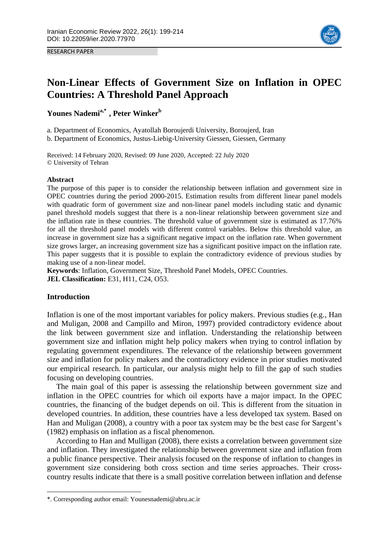RESEARCH PAPER



# **Non-Linear Effects of Government Size on Inflation in OPEC Countries: A Threshold Panel Approach**

**Younes Nademia,\*1 , Peter Winker<sup>b</sup>**

a. Department of Economics, Ayatollah Boroujerdi University, Boroujerd, Iran

b. Department of Economics, Justus-Liebig-University Giessen, Giessen, Germany

Received: 14 February 2020, Revised: 09 June 2020, Accepted: 22 July 2020 © University of Tehran

#### **Abstract**

The purpose of this paper is to consider the relationship between inflation and government size in OPEC countries during the period 2000-2015. Estimation results from different linear panel models with quadratic form of government size and non-linear panel models including static and dynamic panel threshold models suggest that there is a non-linear relationship between government size and the inflation rate in these countries. The threshold value of government size is estimated as 17.76% for all the threshold panel models with different control variables. Below this threshold value, an increase in government size has a significant negative impact on the inflation rate. When government size grows larger, an increasing government size has a significant positive impact on the inflation rate. This paper suggests that it is possible to explain the contradictory evidence of previous studies by making use of a non-linear model.

**Keywords**: Inflation, Government Size, Threshold Panel Models, OPEC Countries. **JEL Classification:** E31, H11, C24, O53.

# **Introduction**

**.** 

Inflation is one of the most important variables for policy makers. Previous studies (e.g., Han and Muligan, 2008 and Campillo and Miron, 1997) provided contradictory evidence about the link between government size and inflation. Understanding the relationship between government size and inflation might help policy makers when trying to control inflation by regulating government expenditures. The relevance of the relationship between government size and inflation for policy makers and the contradictory evidence in prior studies motivated our empirical research. In particular, our analysis might help to fill the gap of such studies focusing on developing countries.

The main goal of this paper is assessing the relationship between government size and inflation in the OPEC countries for which oil exports have a major impact. In the OPEC countries, the financing of the budget depends on oil. This is different from the situation in developed countries. In addition, these countries have a less developed tax system. Based on Han and Muligan (2008), a country with a poor tax system may be the best case for Sargent's (1982) emphasis on inflation as a fiscal phenomenon.

According to Han and Mulligan (2008), there exists a correlation between government size and inflation. They investigated the relationship between government size and inflation from a public finance perspective. Their analysis focused on the response of inflation to changes in government size considering both cross section and time series approaches. Their crosscountry results indicate that there is a small positive correlation between inflation and defense

<sup>\*.</sup> Corresponding author email: Younesnademi@abru.ac.ir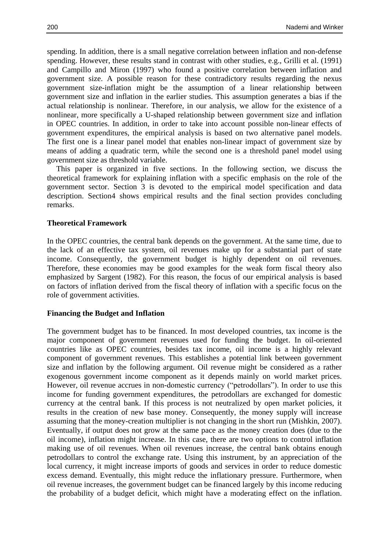spending. In addition, there is a small negative correlation between inflation and non-defense spending. However, these results stand in contrast with other studies, e.g., Grilli et al. (1991) and Campillo and Miron (1997) who found a positive correlation between inflation and government size. A possible reason for these contradictory results regarding the nexus government size-inflation might be the assumption of a linear relationship between government size and inflation in the earlier studies. This assumption generates a bias if the actual relationship is nonlinear. Therefore, in our analysis, we allow for the existence of a nonlinear, more specifically a U-shaped relationship between government size and inflation in OPEC countries. In addition, in order to take into account possible non-linear effects of government expenditures, the empirical analysis is based on two alternative panel models. The first one is a linear panel model that enables non-linear impact of government size by means of adding a quadratic term, while the second one is a threshold panel model using government size as threshold variable.

This paper is organized in five sections. In the following section, we discuss the theoretical framework for explaining inflation with a specific emphasis on the role of the government sector. Section 3 is devoted to the empirical model specification and data description. Section4 shows empirical results and the final section provides concluding remarks.

#### **Theoretical Framework**

In the OPEC countries, the central bank depends on the government. At the same time, due to the lack of an effective tax system, oil revenues make up for a substantial part of state income. Consequently, the government budget is highly dependent on oil revenues. Therefore, these economies may be good examples for the weak form fiscal theory also emphasized by Sargent (1982). For this reason, the focus of our empirical analysis is based on factors of inflation derived from the fiscal theory of inflation with a specific focus on the role of government activities.

#### **Financing the Budget and Inflation**

The government budget has to be financed. In most developed countries, tax income is the major component of government revenues used for funding the budget. In oil-oriented countries like as OPEC countries, besides tax income, oil income is a highly relevant component of government revenues. This establishes a potential link between government size and inflation by the following argument. Oil revenue might be considered as a rather exogenous government income component as it depends mainly on world market prices. However, oil revenue accrues in non-domestic currency ("petrodollars"). In order to use this income for funding government expenditures, the petrodollars are exchanged for domestic currency at the central bank. If this process is not neutralized by open market policies, it results in the creation of new base money. Consequently, the money supply will increase assuming that the money-creation multiplier is not changing in the short run (Mishkin, 2007). Eventually, if output does not grow at the same pace as the money creation does (due to the oil income), inflation might increase. In this case, there are two options to control inflation making use of oil revenues. When oil revenues increase, the central bank obtains enough petrodollars to control the exchange rate. Using this instrument, by an appreciation of the local currency, it might increase imports of goods and services in order to reduce domestic excess demand. Eventually, this might reduce the inflationary pressure. Furthermore, when oil revenue increases, the government budget can be financed largely by this income reducing the probability of a budget deficit, which might have a moderating effect on the inflation.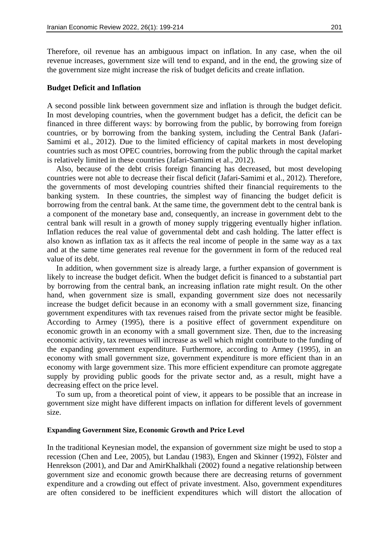Therefore, oil revenue has an ambiguous impact on inflation. In any case, when the oil revenue increases, government size will tend to expand, and in the end, the growing size of the government size might increase the risk of budget deficits and create inflation.

#### **Budget Deficit and Inflation**

A second possible link between government size and inflation is through the budget deficit. In most developing countries, when the government budget has a deficit, the deficit can be financed in three different ways: by borrowing from the public, by borrowing from foreign countries, or by borrowing from the banking system, including the Central Bank (Jafari-Samimi et al., 2012). Due to the limited efficiency of capital markets in most developing countries such as most OPEC countries, borrowing from the public through the capital market is relatively limited in these countries (Jafari-Samimi et al., 2012).

Also, because of the debt crisis foreign financing has decreased, but most developing countries were not able to decrease their fiscal deficit (Jafari-Samimi et al., 2012). Therefore, the governments of most developing countries shifted their financial requirements to the banking system. In these countries, the simplest way of financing the budget deficit is borrowing from the central bank. At the same time, the government debt to the central bank is a component of the monetary base and, consequently, an increase in government debt to the central bank will result in a growth of money supply triggering eventually higher inflation. Inflation reduces the real value of governmental debt and cash holding. The latter effect is also known as inflation tax as it affects the real income of people in the same way as a tax and at the same time generates real revenue for the government in form of the reduced real value of its debt.

In addition, when government size is already large, a further expansion of government is likely to increase the budget deficit. When the budget deficit is financed to a substantial part by borrowing from the central bank, an increasing inflation rate might result. On the other hand, when government size is small, expanding government size does not necessarily increase the budget deficit because in an economy with a small government size, financing government expenditures with tax revenues raised from the private sector might be feasible. According to Armey (1995), there is a positive effect of government expenditure on economic growth in an economy with a small government size. Then, due to the increasing economic activity, tax revenues will increase as well which might contribute to the funding of the expanding government expenditure. Furthermore, according to Armey (1995), in an economy with small government size, government expenditure is more efficient than in an economy with large government size. This more efficient expenditure can promote aggregate supply by providing public goods for the private sector and, as a result, might have a decreasing effect on the price level.

To sum up, from a theoretical point of view, it appears to be possible that an increase in government size might have different impacts on inflation for different levels of government size.

### **Expanding Government Size, Economic Growth and Price Level**

In the traditional Keynesian model, the expansion of government size might be used to stop a recession (Chen and Lee, 2005), but Landau (1983), Engen and Skinner (1992), Fölster and Henrekson (2001), and Dar and AmirKhalkhali (2002) found a negative relationship between government size and economic growth because there are decreasing returns of government expenditure and a crowding out effect of private investment. Also, government expenditures are often considered to be inefficient expenditures which will distort the allocation of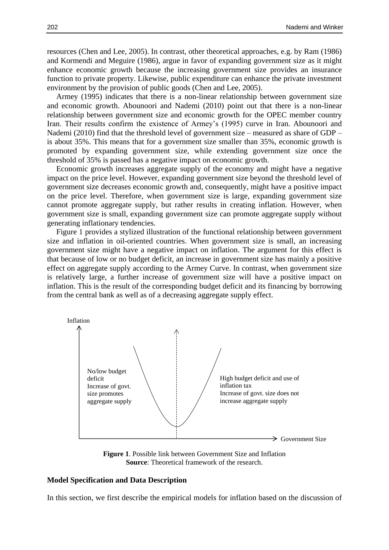resources (Chen and Lee, 2005). In contrast, other theoretical approaches, e.g. by Ram (1986) and Kormendi and Meguire (1986), argue in favor of expanding government size as it might enhance economic growth because the increasing government size provides an insurance function to private property. Likewise, public expenditure can enhance the private investment environment by the provision of public goods (Chen and Lee, 2005).

Armey (1995) indicates that there is a non-linear relationship between government size and economic growth. Abounoori and Nademi (2010) point out that there is a non-linear relationship between government size and economic growth for the OPEC member country Iran. Their results confirm the existence of Armey's (1995) curve in Iran. Abounoori and Nademi (2010) find that the threshold level of government size – measured as share of GDP – is about 35%. This means that for a government size smaller than 35%, economic growth is promoted by expanding government size, while extending government size once the threshold of 35% is passed has a negative impact on economic growth.

Economic growth increases aggregate supply of the economy and might have a negative impact on the price level. However, expanding government size beyond the threshold level of government size decreases economic growth and, consequently, might have a positive impact on the price level. Therefore, when government size is large, expanding government size cannot promote aggregate supply, but rather results in creating inflation. However, when government size is small, expanding government size can promote aggregate supply without generating inflationary tendencies.

Figure 1 provides a stylized illustration of the functional relationship between government size and inflation in oil-oriented countries. When government size is small, an increasing government size might have a negative impact on inflation. The argument for this effect is that because of low or no budget deficit, an increase in government size has mainly a positive effect on aggregate supply according to the Armey Curve. In contrast, when government size is relatively large, a further increase of government size will have a positive impact on inflation. This is the result of the corresponding budget deficit and its financing by borrowing from the central bank as well as of a decreasing aggregate supply effect.



**Figure 1**. Possible link between Government Size and Inflation **Source**: Theoretical framework of the research.

#### **Model Specification and Data Description**

In this section, we first describe the empirical models for inflation based on the discussion of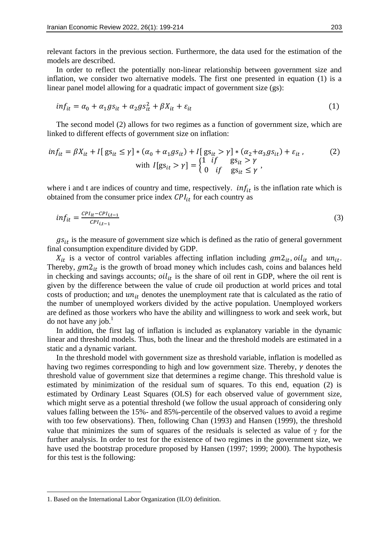relevant factors in the previous section. Furthermore, the data used for the estimation of the models are described.

In order to reflect the potentially non-linear relationship between government size and inflation, we consider two alternative models. The first one presented in equation (1) is a linear panel model allowing for a quadratic impact of government size (gs):

$$
inf_{it} = \alpha_0 + \alpha_1 gs_{it} + \alpha_2 gs_{it}^2 + \beta X_{it} + \varepsilon_{it}
$$
\n<sup>(1)</sup>

The second model (2) allows for two regimes as a function of government size, which are linked to different effects of government size on inflation:

$$
inf_{it} = \beta X_{it} + I[g_s] \le \gamma \cdot (\alpha_0 + \alpha_1 gs_{it}) + I[g_s] \le \gamma \cdot (\alpha_2 + \alpha_3 gs_{it}) + \varepsilon_{it},
$$
\n
$$
\text{with } I[g_s] \ge \gamma = \begin{cases} 1 & \text{if } g_s \ge \gamma \\ 0 & \text{if } g_s \le \gamma \end{cases},
$$
\n
$$
(2)
$$

where i and t are indices of country and time, respectively.  $inf_{it}$  is the inflation rate which is obtained from the consumer price index  $CPI_{it}$  for each country as

$$
inf_{it} = \frac{c_{Plit} - c_{Plit-1}}{c_{Plit-1}}
$$
\n
$$
\tag{3}
$$

 $gs_{it}$  is the measure of government size which is defined as the ratio of general government final consumption expenditure divided by GDP.

 $X_{it}$  is a vector of control variables affecting inflation including  $gm2_{it}$ ,  $oil_{it}$  and  $un_{it}$ . Thereby,  $gm2_{it}$  is the growth of broad money which includes cash, coins and balances held in checking and savings accounts;  $\delta i l_{it}$  is the share of oil rent in GDP, where the oil rent is given by the difference between the value of crude oil production at world prices and total costs of production; and  $un_{it}$  denotes the unemployment rate that is calculated as the ratio of the number of unemployed workers divided by the active population. Unemployed workers are defined as those workers who have the ability and willingness to work and seek work, but  $\alpha$  have any job.<sup>1</sup>

In addition, the first lag of inflation is included as explanatory variable in the dynamic linear and threshold models. Thus, both the linear and the threshold models are estimated in a static and a dynamic variant.

In the threshold model with government size as threshold variable, inflation is modelled as having two regimes corresponding to high and low government size. Thereby,  $\gamma$  denotes the threshold value of government size that determines a regime change. This threshold value is estimated by minimization of the residual sum of squares. To this end, equation (2) is estimated by Ordinary Least Squares (OLS) for each observed value of government size, which might serve as a potential threshold (we follow the usual approach of considering only values falling between the 15%- and 85%-percentile of the observed values to avoid a regime with too few observations). Then, following Chan (1993) and Hansen (1999), the threshold value that minimizes the sum of squares of the residuals is selected as value of  $\gamma$  for the further analysis. In order to test for the existence of two regimes in the government size, we have used the bootstrap procedure proposed by Hansen (1997; 1999; 2000). The hypothesis for this test is the following:

**.** 

<sup>1.</sup> Based on the International Labor Organization (ILO) definition.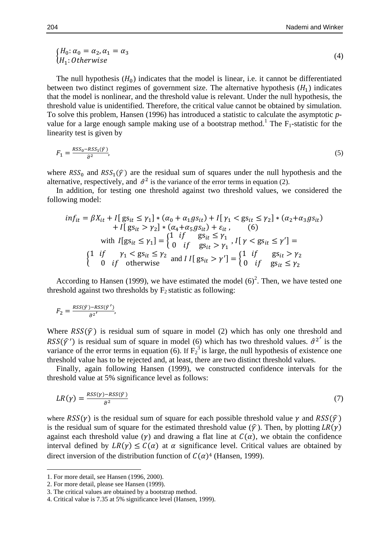$$
\begin{aligned} \n\int H_0: \alpha_0 = \alpha_2, \alpha_1 = \alpha_3 \\ \n\langle H_1: Otherwise \rangle \n\end{aligned} \n\tag{4}
$$

The null hypothesis  $(H_0)$  indicates that the model is linear, i.e. it cannot be differentiated between two distinct regimes of government size. The alternative hypothesis  $(H_1)$  indicates that the model is nonlinear, and the threshold value is relevant. Under the null hypothesis, the threshold value is unidentified. Therefore, the critical value cannot be obtained by simulation. To solve this problem, Hansen (1996) has introduced a statistic to calculate the asymptotic *p*value for a large enough sample making use of a bootstrap method.<sup>1</sup> The  $F_1$ -statistic for the linearity test is given by

$$
F_1 = \frac{RSS_0 - RSS_1(\hat{r})}{\hat{\sigma}^2},\tag{5}
$$

where  $RSS_0$  and  $RSS_1(\hat{y})$  are the residual sum of squares under the null hypothesis and the alternative, respectively, and  $\hat{\sigma}^2$  is the variance of the error terms in equation (2).

In addition, for testing one threshold against two threshold values, we considered the following model:

$$
inf_{it} = \beta X_{it} + I[ g s_{it} \leq \gamma_1] * (\alpha_0 + \alpha_1 g s_{it}) + I[ \gamma_1 < g s_{it} \leq \gamma_2] * (\alpha_2 + \alpha_3 g s_{it})
$$
  
+ 
$$
I[ g s_{it} > \gamma_2] * (\alpha_4 + \alpha_5 g s_{it}) + \varepsilon_{it}, \qquad (6)
$$
  
with 
$$
I[ g s_{it} \leq \gamma_1] = \begin{cases} 1 & \text{if } g s_{it} \leq \gamma_1 \\ 0 & \text{if } g s_{it} > \gamma_1 \end{cases}, I[ \gamma < g s_{it} \leq \gamma'] = \begin{cases} 1 & \text{if } \gamma_1 < g s_{it} \leq \gamma_2 \\ 0 & \text{if } \gamma_1 < g s_{it} \leq \gamma_2 \end{cases}
$$

According to Hansen (1999), we have estimated the model  $(6)^2$ . Then, we have tested one threshold against two thresholds by  $F_2$  statistic as following:

$$
F_2 = \frac{RSS(\hat{r}) - RSS(\hat{r}')}{\hat{\sigma}^2'},
$$

Where  $RSS(\hat{y})$  is residual sum of square in model (2) which has only one threshold and RSS( $\hat{\gamma}$ ') is residual sum of square in model (6) which has two threshold values.  $\hat{\sigma}^2$  is the variance of the error terms in equation (6). If  $F_2^3$  is large, the null hypothesis of existence one threshold value has to be rejected and, at least, there are two distinct threshold values.

Finally, again following Hansen (1999), we constructed confidence intervals for the threshold value at 5% significance level as follows:

$$
LR(\gamma) = \frac{RSS(\gamma) - RSS(\hat{\gamma})}{\hat{\sigma}^2} \tag{7}
$$

where  $RSS(\gamma)$  is the residual sum of square for each possible threshold value  $\gamma$  and  $RSS(\hat{\gamma})$ is the residual sum of square for the estimated threshold value  $(\hat{\gamma})$ . Then, by plotting  $LR(\gamma)$ against each threshold value  $(\gamma)$  and drawing a flat line at  $C(\alpha)$ , we obtain the confidence interval defined by  $LR(y) \leq C(\alpha)$  at  $\alpha$  significance level. Critical values are obtained by direct inversion of the distribution function of  $C(\alpha)^4$  (Hansen, 1999).

**.** 

<sup>1.</sup> For more detail, see Hansen (1996, 2000).

<sup>2.</sup> For more detail, please see Hansen (1999).

<sup>3.</sup> The critical values are obtained by a bootstrap method.

<sup>4.</sup> Critical value is 7.35 at 5% significance level (Hansen, 1999).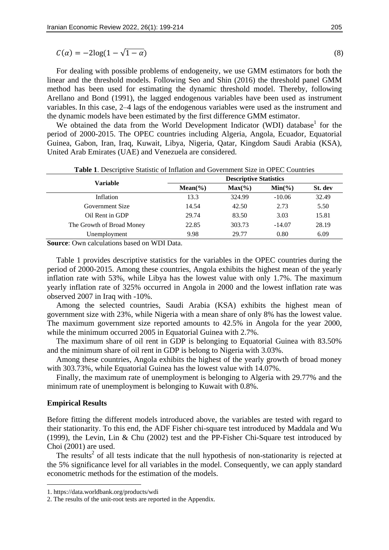$$
C(\alpha) = -2\log(1 - \sqrt{1 - \alpha})\tag{8}
$$

For dealing with possible problems of endogeneity, we use GMM estimators for both the linear and the threshold models. Following Seo and Shin (2016) the threshold panel GMM method has been used for estimating the dynamic threshold model. Thereby, following Arellano and Bond (1991), the lagged endogenous variables have been used as instrument variables. In this case, 2–4 lags of the endogenous variables were used as the instrument and the dynamic models have been estimated by the first difference GMM estimator.

We obtained the data from the World Development Indicator (WDI) database<sup>1</sup> for the period of 2000-2015. The OPEC countries including Algeria, Angola, Ecuador, Equatorial Guinea, Gabon, Iran, Iraq, Kuwait, Libya, Nigeria, Qatar, Kingdom Saudi Arabia (KSA), United Arab Emirates (UAE) and Venezuela are considered.

|                           |            |           | <b>Descriptive Statistics</b> |         |  |  |  |
|---------------------------|------------|-----------|-------------------------------|---------|--|--|--|
| <b>Variable</b>           | $Mean(\%)$ | $Max(\%)$ | $Min(\% )$                    | St. dev |  |  |  |
| Inflation                 | 13.3       | 324.99    | $-10.06$                      | 32.49   |  |  |  |
| Government Size           | 14.54      | 42.50     | 2.73                          | 5.50    |  |  |  |
| Oil Rent in GDP           | 29.74      | 83.50     | 3.03                          | 15.81   |  |  |  |
| The Growth of Broad Money | 22.85      | 303.73    | $-14.07$                      | 28.19   |  |  |  |
| Unemployment              | 9.98       | 29.77     | 0.80                          | 6.09    |  |  |  |

**Table 1**. Descriptive Statistic of Inflation and Government Size in OPEC Countries

**Source**: Own calculations based on WDI Data.

Table 1 provides descriptive statistics for the variables in the OPEC countries during the period of 2000-2015. Among these countries, Angola exhibits the highest mean of the yearly inflation rate with 53%, while Libya has the lowest value with only 1.7%. The maximum yearly inflation rate of 325% occurred in Angola in 2000 and the lowest inflation rate was observed 2007 in Iraq with -10%.

Among the selected countries, Saudi Arabia (KSA) exhibits the highest mean of government size with 23%, while Nigeria with a mean share of only 8% has the lowest value. The maximum government size reported amounts to 42.5% in Angola for the year 2000, while the minimum occurred 2005 in Equatorial Guinea with 2.7%.

The maximum share of oil rent in GDP is belonging to Equatorial Guinea with 83.50% and the minimum share of oil rent in GDP is belong to Nigeria with 3.03%.

Among these countries, Angola exhibits the highest of the yearly growth of broad money with 303.73%, while Equatorial Guinea has the lowest value with 14.07%.

Finally, the maximum rate of unemployment is belonging to Algeria with 29.77% and the minimum rate of unemployment is belonging to Kuwait with 0.8%.

# **Empirical Results**

1

Before fitting the different models introduced above, the variables are tested with regard to their stationarity. To this end, the ADF Fisher chi-square test introduced by Maddala and Wu (1999), the Levin, Lin & Chu (2002) test and the PP-Fisher Chi-Square test introduced by Choi (2001) are used.

The results<sup>2</sup> of all tests indicate that the null hypothesis of non-stationarity is rejected at the 5% significance level for all variables in the model. Consequently, we can apply standard econometric methods for the estimation of the models.

<sup>1.</sup> https://data.worldbank.org/products/wdi

<sup>2.</sup> The results of the unit-root tests are reported in the Appendix.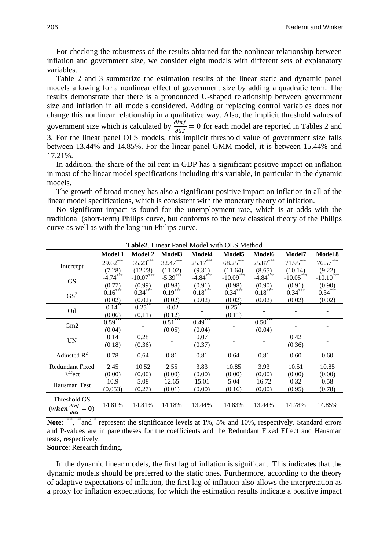For checking the robustness of the results obtained for the nonlinear relationship between inflation and government size, we consider eight models with different sets of explanatory variables.

Table 2 and 3 summarize the estimation results of the linear static and dynamic panel models allowing for a nonlinear effect of government size by adding a quadratic term. The results demonstrate that there is a pronounced U-shaped relationship between government size and inflation in all models considered. Adding or replacing control variables does not change this nonlinear relationship in a qualitative way. Also, the implicit threshold values of government size which is calculated by  $\frac{\partial n}{\partial G_S} = 0$  for each model are reported in Tables 2 and 3. For the linear panel OLS models, this implicit threshold value of government size falls between 13.44% and 14.85%. For the linear panel GMM model, it is between 15.44% and 17.21%.

In addition, the share of the oil rent in GDP has a significant positive impact on inflation in most of the linear model specifications including this variable, in particular in the dynamic models.

The growth of broad money has also a significant positive impact on inflation in all of the linear model specifications, which is consistent with the monetary theory of inflation.

No significant impact is found for the unemployment rate, which is at odds with the traditional (short-term) Philips curve, but conforms to the new classical theory of the Philips curve as well as with the long run Philips curve.

|                                                                               | <b>Model 1</b> | <b>Model 2</b> | Model <sub>3</sub> | Model4     | Model5      | <b>Model6</b>          | Model7      | <b>Model 8</b>            |
|-------------------------------------------------------------------------------|----------------|----------------|--------------------|------------|-------------|------------------------|-------------|---------------------------|
| Intercept                                                                     | $29.62***$     | $65.23***$     | $32.47***$         | $25.17***$ | $68.25***$  | $25.87***$             | $71.95***$  | $76.57***$                |
|                                                                               | (7.28)         | (12.23)        | (11.02)            | (9.31)     | (11.64)     | (8.65)                 | (10.14)     | (9.22)                    |
| <b>GS</b>                                                                     | $-4.74***$     | $-10.07***$    | $-5.39***$         | $-4.84***$ | $-10.09***$ | $-4.84$ <sup>***</sup> | $-10.05***$ | $-10.\overline{10}^{***}$ |
|                                                                               | (0.77)         | (0.99)         | (0.98)             | (0.91)     | (0.98)      | (0.90)                 | (0.91)      | (0.90)                    |
| GS <sup>2</sup>                                                               | $0.16***$      | $0.34***$      | $0.19***$          | $0.18***$  | $0.34***$   | $0.18***$              | $0.34***$   | $0.34***$                 |
|                                                                               | (0.02)         | (0.02)         | (0.02)             | (0.02)     | (0.02)      | (0.02)                 | (0.02)      | (0.02)                    |
| Oil                                                                           | $-0.14***$     | $0.25^{**}$    | $-0.02$            |            | $0.25***$   |                        |             |                           |
|                                                                               | (0.06)         | (0.11)         | (0.12)             |            | (0.11)      |                        |             |                           |
|                                                                               | $0.59***$      |                | $0.51***$          | $0.49***$  |             | $0.50***$              |             |                           |
| Gm2                                                                           | (0.04)         |                | (0.05)             | (0.04)     |             | (0.04)                 |             |                           |
| <b>UN</b>                                                                     | 0.14           | 0.28           |                    | 0.07       |             |                        | 0.42        |                           |
|                                                                               | (0.18)         | (0.36)         |                    | (0.37)     |             |                        | (0.36)      |                           |
| Adjusted $R^2$                                                                | 0.78           | 0.64           | 0.81               | 0.81       | 0.64        | 0.81                   | 0.60        | 0.60                      |
| <b>Redundant Fixed</b>                                                        | 2.45           | 10.52          | 2.55               | 3.83       | 10.85       | 3.93                   | 10.51       | 10.85                     |
| Effect                                                                        | (0.00)         | (0.00)         | (0.00)             | (0.00)     | (0.00)      | (0.00)                 | (0.00)      | (0.00)                    |
|                                                                               | 10.9           | 5.08           | 12.65              | 15.01      | 5.04        | 16.72                  | 0.32        | 0.58                      |
| Hausman Test                                                                  | (0.053)        | (0.27)         | (0.01)             | (0.00)     | (0.16)      | (0.00)                 | (0.95)      | (0.78)                    |
| Threshold GS<br>$(when \frac{\partial lnf}{\partial lnh} = 0)$<br><b>a</b> GS | 14.81%         | 14.81%         | 14.18%             | 13.44%     | 14.83%      | 13.44%                 | 14.78%      | 14.85%                    |

**Table2**. Linear Panel Model with OLS Method

Note: \*\*\*, \*\*and \* represent the significance levels at 1%, 5% and 10%, respectively. Standard errors and P-values are in parentheses for the coefficients and the Redundant Fixed Effect and Hausman tests, respectively.

**Source**: Research finding.

In the dynamic linear models, the first lag of inflation is significant. This indicates that the dynamic models should be preferred to the static ones. Furthermore, according to the theory of adaptive expectations of inflation, the first lag of inflation also allows the interpretation as a proxy for inflation expectations, for which the estimation results indicate a positive impact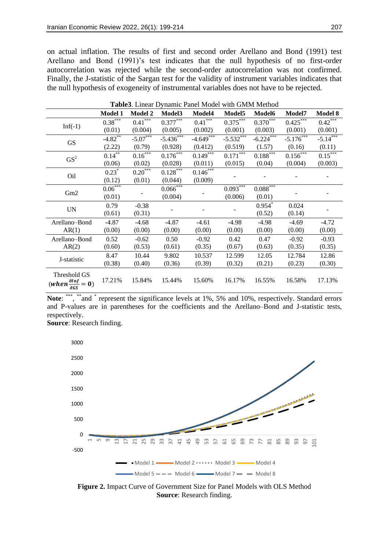on actual inflation. The results of first and second order Arellano and Bond (1991) test Arellano and Bond (1991)'s test indicates that the null hypothesis of no first-order autocorrelation was rejected while the second-order autocorrelation was not confirmed. Finally, the J-statistic of the Sargan test for the validity of instrument variables indicates that the null hypothesis of exogeneity of instrumental variables does not have to be rejected.

|                                                                | <b>Model 1</b>        | <b>Model 2</b> | Model <sub>3</sub>     | Model4      | Model <sub>5</sub> | <b>Model6</b> | Model7      | <b>Model 8</b>          |
|----------------------------------------------------------------|-----------------------|----------------|------------------------|-------------|--------------------|---------------|-------------|-------------------------|
|                                                                | $0.38***$             | $0.41***$      | $0.377***$             | $0.41***$   | $0.375***$         | $0.370***$    | 0.425       | 0.42                    |
| $Inf(-1)$                                                      | (0.01)                | (0.004)        | (0.005)                | (0.002)     | (0.001)            | (0.003)       | (0.001)     | (0.001)                 |
| <b>GS</b>                                                      | $-4.82$ <sup>**</sup> | $-5.07***$     | $-5.436***$            | $-4.649***$ | $-5.532***$        | $-6.224***$   | $-5.176***$ | $-5.14***$              |
|                                                                | (2.22)                | (0.79)         | (0.928)                | (0.412)     | (0.519)            | (1.57)        | (0.16)      | (0.11)                  |
| GS <sup>2</sup>                                                | $0.14***$             | $0.16***$      | $0.176***$             | $0.149***$  | $0.171***$         | $0.188***$    | $0.156***$  | $0.\overline{15}^{***}$ |
|                                                                | (0.06)                | (0.02)         | (0.028)                | (0.011)     | (0.015)            | (0.04)        | (0.004)     | (0.003)                 |
|                                                                | $0.23*$               | $0.20***$      | $0.128***$             | $0.146***$  |                    |               |             |                         |
| Oil                                                            | (0.12)                | (0.01)         | (0.044)                | (0.009)     |                    |               |             |                         |
|                                                                | $0.06***$             |                | $0.066$ <sup>***</sup> |             | $0.093***$         | $0.088***$    |             |                         |
| Gm2                                                            | (0.01)                |                | (0.004)                |             | (0.006)            | (0.01)        |             |                         |
|                                                                | 0.79                  | $-0.38$        |                        |             |                    | $0.954$ *     | 0.024       |                         |
| $\ensuremath{\text{UN}}$                                       | (0.61)                | (0.31)         |                        |             |                    | (0.52)        | (0.14)      |                         |
| Arellano-Bond                                                  | $-4.87$               | $-4.68$        | $-4.87$                | $-4.61$     | $-4.98$            | $-4.98$       | $-4.69$     | $-4.72$                 |
| AR(1)                                                          | (0.00)                | (0.00)         | (0.00)                 | (0.00)      | (0.00)             | (0.00)        | (0.00)      | (0.00)                  |
| Arellano-Bond                                                  | 0.52                  | $-0.62$        | 0.50                   | $-0.92$     | 0.42               | 0.47          | $-0.92$     | $-0.93$                 |
| AR(2)                                                          | (0.60)                | (0.53)         | (0.61)                 | (0.35)      | (0.67)             | (0.63)        | (0.35)      | (0.35)                  |
|                                                                | 8.47                  | 10.44          | 9.802                  | 10.537      | 12.599             | 12.05         | 12.784      | 12.86                   |
| J-statistic                                                    | (0.38)                | (0.40)         | (0.36)                 | (0.39)      | (0.32)             | (0.21)        | (0.23)      | (0.30)                  |
| Threshold GS<br>(when $\frac{\partial lnf}{\partial GS} = 0$ ) | 17.21%                | 15.84%         | 15.44%                 | 15.60%      | 16.17%             | 16.55%        | 16.58%      | 17.13%                  |
|                                                                |                       |                |                        |             |                    |               |             |                         |

**Table3**. Linear Dynamic Panel Model with GMM Method

Note: \*\*\*, \*\*and \* represent the significance levels at 1%, 5% and 10%, respectively. Standard errors and P-values are in parentheses for the coefficients and the Arellano–Bond and J-statistic tests, respectively.

**Source**: Research finding.



**Figure 2.** Impact Curve of Government Size for Panel Models with OLS Method **Source**: Research finding.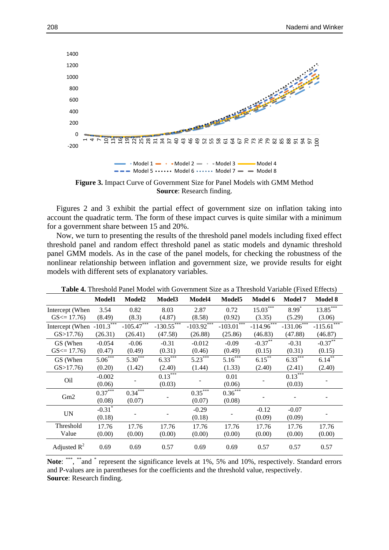

**Figure 3.** Impact Curve of Government Size for Panel Models with GMM Method **Source**: Research finding.

Figures 2 and 3 exhibit the partial effect of government size on inflation taking into account the quadratic term. The form of these impact curves is quite similar with a minimum for a government share between 15 and 20%.

Now, we turn to presenting the results of the threshold panel models including fixed effect threshold panel and random effect threshold panel as static models and dynamic threshold panel GMM models. As in the case of the panel models, for checking the robustness of the nonlinear relationship between inflation and government size, we provide results for eight models with different sets of explanatory variables.

|                                           | Model1                | Model2       | Model <sub>3</sub>    | Model4                   | Model <sub>5</sub>       | Model 6       | <b>Model 7</b> | <b>Model 8</b> |  |
|-------------------------------------------|-----------------------|--------------|-----------------------|--------------------------|--------------------------|---------------|----------------|----------------|--|
| Intercept (When                           | 3.54                  | 0.82         | 8.03                  | 2.87                     | 0.72                     | $15.03***$    | $8.99*$        | 13.85          |  |
| $GS \le 17.76$                            | (8.49)                | (8.3)        | (4.87)                | (8.58)                   | (0.92)                   | (3.35)        | (5.29)         | (3.06)         |  |
| Intercept (When $-101.\overline{3}^{***}$ |                       | $-105.47$    | $-130.55$ ***         | $-103.92$ <sup>***</sup> | $-103.01$ <sup>***</sup> | $-114.96$ *** | $-131.06$ ***  | $-115.61$      |  |
| GS > 17.76                                | (26.31)               | (26.41)      | (47.58)               | (26.88)                  | (25.86)                  | (46.83)       | (47.88)        | (46.87)        |  |
| GS (When                                  | $-0.054$              | $-0.06$      | $-0.31$               | $-0.012$                 | $-0.09$                  | $-0.37***$    | $-0.31$        | $-0.37***$     |  |
| $GS \le 17.76$                            | (0.47)                | (0.49)       | (0.31)                | (0.46)                   | (0.49)                   | (0.15)        | (0.31)         | (0.15)         |  |
| GS (When                                  | $5.06***$             | $5.30^{***}$ | $6.33***$             | $5.23***$                | $5.16***$                | $6.15***$     | $6.33***$      | $6.14***$      |  |
| GS > 17.76                                | (0.20)                | (1.42)       | (2.40)                | (1.44)                   | (1.33)                   | (2.40)        | (2.41)         | (2.40)         |  |
| Oil                                       | $-0.002$              |              | $0.13$ <sup>***</sup> |                          | 0.01                     |               | $0.13***$      |                |  |
|                                           | (0.06)                |              | (0.03)                |                          | (0.06)                   |               | (0.03)         |                |  |
|                                           | $0.37$ <sup>***</sup> | $0.34***$    |                       | $0.35***$                | $0.36***$                |               |                |                |  |
| Gm2                                       | (0.08)                | (0.07)       |                       | (0.07)                   | (0.08)                   |               |                |                |  |
|                                           | $-0.31$ <sup>*</sup>  |              |                       | $-0.29$                  |                          | $-0.12$       | $-0.07$        |                |  |
| <b>UN</b>                                 | (0.18)                |              |                       | (0.18)                   |                          | (0.09)        | (0.09)         |                |  |
| Threshold                                 | 17.76                 | 17.76        | 17.76                 | 17.76                    | 17.76                    | 17.76         | 17.76          | 17.76          |  |
| Value                                     | (0.00)                | (0.00)       | (0.00)                | (0.00)                   | (0.00)                   | (0.00)        | (0.00)         | (0.00)         |  |
| Adjusted $R^2$                            | 0.69                  | 0.69         | 0.57                  | 0.69                     | 0.69                     | 0.57          | 0.57           | 0.57           |  |

**Table 4.** Threshold Panel Model with Government Size as a Threshold Variable (Fixed Effects)

Note: \*\*\*, \*\*and \* represent the significance levels at 1%, 5% and 10%, respectively. Standard errors and P-values are in parentheses for the coefficients and the threshold value, respectively. **Source**: Research finding.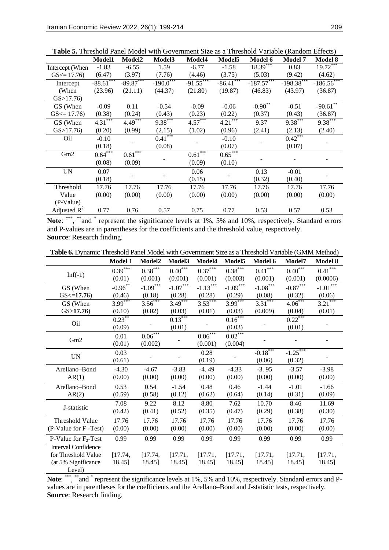|                 | <b>Model1</b>          | Model2      | Model <sub>3</sub>    | Model4                | Model5      | <b>Model 6</b> | <b>Model 7</b> | <b>Model 8</b>             |
|-----------------|------------------------|-------------|-----------------------|-----------------------|-------------|----------------|----------------|----------------------------|
| Intercept (When | $-1.83$                | $-6.55$     | 1.59                  | $-6.77$               | $-1.58$     | $18.39***$     | 0.83           | $19.72***$                 |
| $GS \le 17.76$  | (6.47)                 | (3.97)      | (7.76)                | (4.46)                | (3.75)      | (5.03)         | (9.42)         | (4.62)                     |
| Intercept       | $-88.\overline{61}***$ | $-89.87***$ | $-190.0$ ***          | $-91.55***$           | $-86.41***$ | $-187.57***$   | $-198.38***$   | $-186.\overline{56}^{***}$ |
| (When           | (23.96)                | (21.11)     | (44.37)               | (21.80)               | (19.87)     | (46.83)        | (43.97)        | (36.87)                    |
| GS > 17.76      |                        |             |                       |                       |             |                |                |                            |
| GS (When        | $-0.09$                | 0.11        | $-0.54$               | $-0.09$               | $-0.06$     | $-0.90^{**}$   | $-0.51$        | $-90.61$ **                |
| $GS \le 17.76$  | (0.38)                 | (0.24)      | (0.43)                | (0.23)                | (0.22)      | (0.37)         | (0.43)         | (36.87)                    |
| GS (When        | $4.31***$              | $4.49***$   | $9.38$ <sup>***</sup> | $4.57$ <sup>***</sup> | 4.21        | 9.37           | $9.38***$      | $9.38$ <sup>***</sup>      |
| GS > 17.76      | (0.20)                 | (0.99)      | (2.15)                | (1.02)                | (0.96)      | (2.41)         | (2.13)         | (2.40)                     |
| Oil             | $-0.10$                |             | $0.41***$             |                       | $-0.10$     |                | $0.42***$      |                            |
|                 | (0.18)                 |             | (0.08)                |                       | (0.07)      |                | (0.07)         |                            |
| Gm2             | $0.64***$              | $0.61***$   |                       | $0.61$ <sup>***</sup> | $0.65***$   |                |                |                            |
|                 | (0.08)                 | (0.09)      |                       | (0.09)                | (0.10)      |                |                |                            |
| <b>UN</b>       | 0.07                   |             |                       | 0.06                  |             | 0.13           | $-0.01$        |                            |
|                 | (0.18)                 |             |                       | (0.15)                |             | (0.32)         | (0.40)         |                            |
| Threshold       | 17.76                  | 17.76       | 17.76                 | 17.76                 | 17.76       | 17.76          | 17.76          | 17.76                      |
| Value           | (0.00)                 | (0.00)      | (0.00)                | (0.00)                | (0.00)      | (0.00)         | (0.00)         | (0.00)                     |
| (P-Value)       |                        |             |                       |                       |             |                |                |                            |
| Adjusted $R^2$  | 0.77                   | 0.76        | 0.57                  | 0.75                  | 0.77        | 0.53           | 0.57           | 0.53                       |

**Table 5.** Threshold Panel Model with Government Size as a Threshold Variable (Random Effects)

Note: \*\*\*, \*\*and \* represent the significance levels at 1%, 5% and 10%, respectively. Standard errors and P-values are in parentheses for the coefficients and the threshold value, respectively. **Source**: Research finding.

| <b>Table 6.</b> Dynamic Threshold Panel Model with Government Size as a Threshold Variable (GMM Method) |  |
|---------------------------------------------------------------------------------------------------------|--|
|---------------------------------------------------------------------------------------------------------|--|

|                            | Model 1              | Model2     | Model3     | Model4     | Model5                | Model 6                | Model7                      | Model 8                |
|----------------------------|----------------------|------------|------------|------------|-----------------------|------------------------|-----------------------------|------------------------|
| $Inf(-1)$                  | $0.39***$            | $0.38***$  | $0.40***$  | $0.37***$  | $0.38^{\ast\ast\ast}$ | $0.41***$              | $0.40^{\ast\ast\ast}$       | $0.41***$              |
|                            | (0.01)               | (0.001)    | (0.001)    | (0.001)    | (0.003)               | (0.001)                | (0.001)                     | (0.0006)               |
| GS (When                   | $-0.96**$            | $-1.09***$ | $-1.07***$ | $-1.13***$ | $-1.09***$            | $-1.08***$             | $-0.87***$                  | $-1.01$ <sup>***</sup> |
| GS < 17.76                 | (0.46)               | (0.18)     | (0.28)     | (0.28)     | (0.29)                | (0.08)                 | (0.32)                      | (0.06)                 |
| GS (When                   | $3.99***$            | $3.56***$  | $3.49***$  | $3.53***$  | $3.99***$             | $3.31***$              | $4.06***$                   | $3.21***$              |
| GS > 17.76                 | (0.10)               | (0.02)     | (0.03)     | (0.01)     | (0.03)                | (0.009)                | (0.04)                      | (0.01)                 |
| O <sub>il</sub>            | $0.23$ <sup>**</sup> |            | $0.13***$  |            | $0.16***$             |                        | $0.22^{\overline{2}^{***}}$ |                        |
|                            | (0.09)               |            | (0.01)     |            | (0.03)                |                        | (0.01)                      |                        |
|                            | 0.01                 | $0.06***$  |            | $0.06***$  | $0.02***$             |                        |                             |                        |
| Gm2                        | (0.01)               | (0.002)    |            | (0.001)    | (0.004)               |                        |                             |                        |
| $\ensuremath{\text{UN}}$   | 0.03                 |            |            | 0.28       |                       | $-0.18$ <sup>***</sup> | $-1.25$                     |                        |
|                            | (0.61)               |            |            | (0.19)     |                       | (0.06)                 | (0.32)                      |                        |
| Arellano-Bond              | $-4.30$              | $-4.67$    | $-3.83$    | $-4.49$    | $-4.33$               | $-3.95$                | $-3.57$                     | $-3.98$                |
| AR(1)                      | (0.00)               | (0.00)     | (0.00)     | (0.00)     | (0.00)                | (0.00)                 | (0.00)                      | (0.00)                 |
| Arellano-Bond              | 0.53                 | 0.54       | $-1.54$    | 0.48       | 0.46                  | $-1.44$                | $-1.01$                     | $-1.66$                |
| AR(2)                      | (0.59)               | (0.58)     | (0.12)     | (0.62)     | (0.64)                | (0.14)                 | (0.31)                      | (0.09)                 |
|                            | 7.08                 | 9.22       | 8.12       | 8.80       | 7.62                  | 10.70                  | 8.46                        | 11.69                  |
| J-statistic                | (0.42)               | (0.41)     | (0.52)     | (0.35)     | (0.47)                | (0.29)                 | (0.38)                      | (0.30)                 |
| Threshold Value            | 17.76                | 17.76      | 17.76      | 17.76      | 17.76                 | 17.76                  | 17.76                       | 17.76                  |
| $(P-Value for F1-Test)$    | (0.00)               | (0.00)     | (0.00)     | (0.00)     | (0.00)                | (0.00)                 | (0.00)                      | (0.00)                 |
| P-Value for $F_2$ -Test    | 0.99                 | 0.99       | 0.99       | 0.99       | 0.99                  | 0.99                   | 0.99                        | 0.99                   |
| <b>Interval Confidence</b> |                      |            |            |            |                       |                        |                             |                        |
| for Threshold Value        | [17.74,              | [17.74,    | [17.71,    | [17.71,    | [17.71,               | [17.71,                | [17.71,                     | [17.71,                |
| (at 5% Significance        | 18.45]               | 18.45]     | 18.45]     | 18.45]     | 18.45]                | 18.45]                 | 18.45]                      | 18.45]                 |
| Level)                     |                      |            |            |            |                       |                        |                             |                        |

Note: \*\*\*, \*\*and \* represent the significance levels at 1%, 5% and 10%, respectively. Standard errors and Pvalues are in parentheses for the coefficients and the Arellano–Bond and J-statistic tests, respectively. **Source**: Research finding.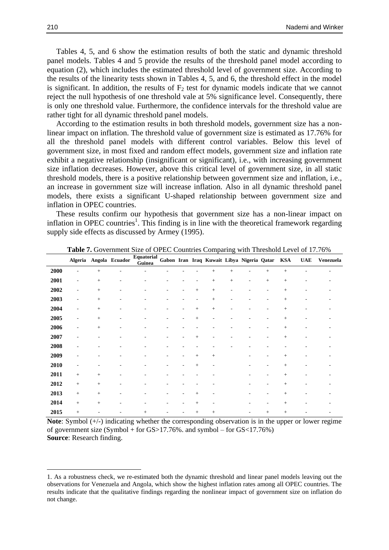Tables 4, 5, and 6 show the estimation results of both the static and dynamic threshold panel models. Tables 4 and 5 provide the results of the threshold panel model according to equation (2), which includes the estimated threshold level of government size. According to the results of the linearity tests shown in Tables 4, 5, and 6, the threshold effect in the model is significant. In addition, the results of  $F_2$  test for dynamic models indicate that we cannot reject the null hypothesis of one threshold vale at 5% significance level. Consequently, there is only one threshold value. Furthermore, the confidence intervals for the threshold value are rather tight for all dynamic threshold panel models.

According to the estimation results in both threshold models, government size has a nonlinear impact on inflation. The threshold value of government size is estimated as 17.76% for all the threshold panel models with different control variables. Below this level of government size, in most fixed and random effect models, government size and inflation rate exhibit a negative relationship (insignificant or significant), i.e., with increasing government size inflation decreases. However, above this critical level of government size, in all static threshold models, there is a positive relationship between government size and inflation, i.e., an increase in government size will increase inflation. Also in all dynamic threshold panel models, there exists a significant U-shaped relationship between government size and inflation in OPEC countries.

These results confirm our hypothesis that government size has a non-linear impact on inflation in OPEC countries<sup>1</sup>. This finding is in line with the theoretical framework regarding supply side effects as discussed by Armey (1995).

|      |                   |        | Algeria Angola Ecuador | Equatorial<br>Guinea |   |        |        |        | Gabon Iran Iraq Kuwait Libya Nigeria Qatar |        | $\mathbf{KSA}$ | <b>UAE</b> | Venezuela |
|------|-------------------|--------|------------------------|----------------------|---|--------|--------|--------|--------------------------------------------|--------|----------------|------------|-----------|
| 2000 |                   | $^{+}$ |                        |                      |   |        | $^{+}$ | $^{+}$ |                                            | $+$    | $\! +$         |            |           |
| 2001 | ٠                 | $^{+}$ | ٠                      |                      |   |        | $\! +$ | $\! +$ |                                            | $^{+}$ |                |            |           |
| 2002 |                   | $^{+}$ |                        |                      |   | $^{+}$ | $^{+}$ |        |                                            |        | $^{+}$         |            |           |
| 2003 |                   | $+$    |                        |                      |   |        | $^{+}$ |        |                                            |        | $+$            |            |           |
| 2004 |                   | $^{+}$ |                        |                      |   | $+$    | $^{+}$ |        |                                            |        | $+$            |            |           |
| 2005 |                   | $\! +$ |                        |                      |   | $^{+}$ |        |        |                                            |        | $^+$           |            |           |
| 2006 |                   | $+$    |                        |                      |   |        |        |        |                                            |        | $+$            |            |           |
| 2007 | ٠                 |        |                        |                      |   | $+$    |        |        |                                            |        | $\! +$         |            |           |
| 2008 |                   |        |                        |                      |   |        |        |        |                                            |        |                |            |           |
| 2009 |                   |        |                        |                      | ۰ | $^{+}$ | $+$    |        |                                            |        | $+$            |            |           |
| 2010 |                   |        |                        |                      |   | $+$    |        |        |                                            |        | $^{+}$         |            |           |
| 2011 | $^{+}$            | $\! +$ |                        |                      |   |        |        |        |                                            |        | $^{+}$         |            |           |
| 2012 | $\qquad \qquad +$ | $^{+}$ | ۰                      |                      |   |        |        |        |                                            |        | $\! +$         |            |           |
| 2013 | $\qquad \qquad +$ | $\! +$ | ۰                      |                      |   | $^{+}$ |        |        |                                            |        | $\ddot{}$      |            |           |
| 2014 | $^{+}$            | $\! +$ |                        |                      |   | $+$    |        |        |                                            |        | $^{+}$         |            |           |
| 2015 | $^{+}$            |        |                        | $^{+}$               |   | $^{+}$ | $^{+}$ |        |                                            | $^{+}$ | $^{+}$         |            |           |

**Table 7.** Government Size of OPEC Countries Comparing with Threshold Level of 17.76%

**Note**: Symbol (+/-) indicating whether the corresponding observation is in the upper or lower regime of government size (Symbol + for GS>17.76%. and symbol – for GS<17.76%) **Source**: Research finding.

**.** 

<sup>1.</sup> As a robustness check, we re-estimated both the dynamic threshold and linear panel models leaving out the observations for Venezuela and Angola, which show the highest inflation rates among all OPEC countries. The results indicate that the qualitative findings regarding the nonlinear impact of government size on inflation do not change.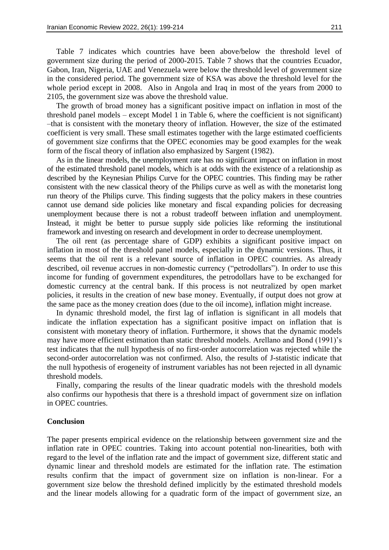Table 7 indicates which countries have been above/below the threshold level of government size during the period of 2000-2015. Table 7 shows that the countries Ecuador, Gabon, Iran, Nigeria, UAE and Venezuela were below the threshold level of government size in the considered period. The government size of KSA was above the threshold level for the whole period except in 2008. Also in Angola and Iraq in most of the years from 2000 to 2105, the government size was above the threshold value.

The growth of broad money has a significant positive impact on inflation in most of the threshold panel models – except Model 1 in Table 6, where the coefficient is not significant) –that is consistent with the monetary theory of inflation. However, the size of the estimated coefficient is very small. These small estimates together with the large estimated coefficients of government size confirms that the OPEC economies may be good examples for the weak form of the fiscal theory of inflation also emphasized by Sargent (1982).

As in the linear models, the unemployment rate has no significant impact on inflation in most of the estimated threshold panel models, which is at odds with the existence of a relationship as described by the Keynesian Philips Curve for the OPEC countries. This finding may be rather consistent with the new classical theory of the Philips curve as well as with the monetarist long run theory of the Philips curve. This finding suggests that the policy makers in these countries cannot use demand side policies like monetary and fiscal expanding policies for decreasing unemployment because there is not a robust tradeoff between inflation and unemployment. Instead, it might be better to pursue supply side policies like reforming the institutional framework and investing on research and development in order to decrease unemployment.

The oil rent (as percentage share of GDP) exhibits a significant positive impact on inflation in most of the threshold panel models, especially in the dynamic versions. Thus, it seems that the oil rent is a relevant source of inflation in OPEC countries. As already described, oil revenue accrues in non-domestic currency ("petrodollars"). In order to use this income for funding of government expenditures, the petrodollars have to be exchanged for domestic currency at the central bank. If this process is not neutralized by open market policies, it results in the creation of new base money. Eventually, if output does not grow at the same pace as the money creation does (due to the oil income), inflation might increase.

In dynamic threshold model, the first lag of inflation is significant in all models that indicate the inflation expectation has a significant positive impact on inflation that is consistent with monetary theory of inflation. Furthermore, it shows that the dynamic models may have more efficient estimation than static threshold models. Arellano and Bond (1991)'s test indicates that the null hypothesis of no first-order autocorrelation was rejected while the second-order autocorrelation was not confirmed. Also, the results of J-statistic indicate that the null hypothesis of erogeneity of instrument variables has not been rejected in all dynamic threshold models.

Finally, comparing the results of the linear quadratic models with the threshold models also confirms our hypothesis that there is a threshold impact of government size on inflation in OPEC countries.

### **Conclusion**

The paper presents empirical evidence on the relationship between government size and the inflation rate in OPEC countries. Taking into account potential non-linearities, both with regard to the level of the inflation rate and the impact of government size, different static and dynamic linear and threshold models are estimated for the inflation rate. The estimation results confirm that the impact of government size on inflation is non-linear. For a government size below the threshold defined implicitly by the estimated threshold models and the linear models allowing for a quadratic form of the impact of government size, an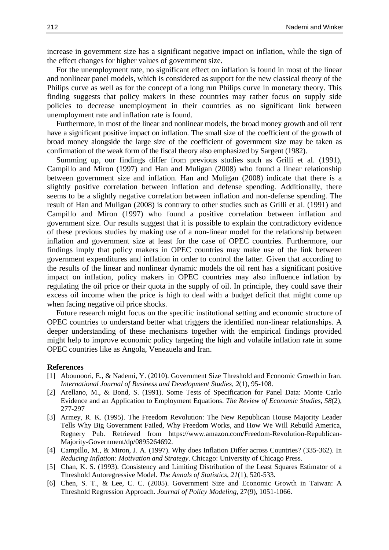increase in government size has a significant negative impact on inflation, while the sign of the effect changes for higher values of government size.

For the unemployment rate, no significant effect on inflation is found in most of the linear and nonlinear panel models, which is considered as support for the new classical theory of the Philips curve as well as for the concept of a long run Philips curve in monetary theory. This finding suggests that policy makers in these countries may rather focus on supply side policies to decrease unemployment in their countries as no significant link between unemployment rate and inflation rate is found.

Furthermore, in most of the linear and nonlinear models, the broad money growth and oil rent have a significant positive impact on inflation. The small size of the coefficient of the growth of broad money alongside the large size of the coefficient of government size may be taken as confirmation of the weak form of the fiscal theory also emphasized by Sargent (1982).

Summing up, our findings differ from previous studies such as Grilli et al. (1991), Campillo and Miron (1997) and Han and Muligan (2008) who found a linear relationship between government size and inflation. Han and Muligan (2008) indicate that there is a slightly positive correlation between inflation and defense spending. Additionally, there seems to be a slightly negative correlation between inflation and non-defense spending. The result of Han and Muligan (2008) is contrary to other studies such as Grilli et al. (1991) and Campillo and Miron (1997) who found a positive correlation between inflation and government size. Our results suggest that it is possible to explain the contradictory evidence of these previous studies by making use of a non-linear model for the relationship between inflation and government size at least for the case of OPEC countries. Furthermore, our findings imply that policy makers in OPEC countries may make use of the link between government expenditures and inflation in order to control the latter. Given that according to the results of the linear and nonlinear dynamic models the oil rent has a significant positive impact on inflation, policy makers in OPEC countries may also influence inflation by regulating the oil price or their quota in the supply of oil. In principle, they could save their excess oil income when the price is high to deal with a budget deficit that might come up when facing negative oil price shocks.

Future research might focus on the specific institutional setting and economic structure of OPEC countries to understand better what triggers the identified non-linear relationships. A deeper understanding of these mechanisms together with the empirical findings provided might help to improve economic policy targeting the high and volatile inflation rate in some OPEC countries like as Angola, Venezuela and Iran.

#### **References**

- [1] Abounoori, E., & Nademi, Y. (2010). Government Size Threshold and Economic Growth in Iran. *International Journal of Business and Development Studies, 2*(1), 95-108.
- [2] Arellano, M., & Bond, S. (1991). Some Tests of Specification for Panel Data: Monte Carlo Evidence and an Application to Employment Equations. *The Review of Economic Studies, 58*(2), 277-297
- [3] Armey, R. K. (1995). The Freedom Revolution: The New Republican House Majority Leader Tells Why Big Government Failed, Why Freedom Works, and How We Will Rebuild America, Regnery Pub. Retrieved from https://www.amazon.com/Freedom-Revolution-Republican-Majority-Government/dp/0895264692.
- [4] Campillo, M., & Miron, J. A. (1997). Why does Inflation Differ across Countries? (335-362). In *Reducing Inflation: Motivation and Strategy*. Chicago: University of Chicago Press.
- [5] Chan, K. S. (1993). Consistency and Limiting Distribution of the Least Squares Estimator of a Threshold Autoregressive Model. *The Annals of Statistics*, *21*(1), 520-533.
- [6] Chen, S. T., & Lee, C. C. (2005). Government Size and Economic Growth in Taiwan: A Threshold Regression Approach. *Journal of Policy Modeling*, 27(9), 1051-1066.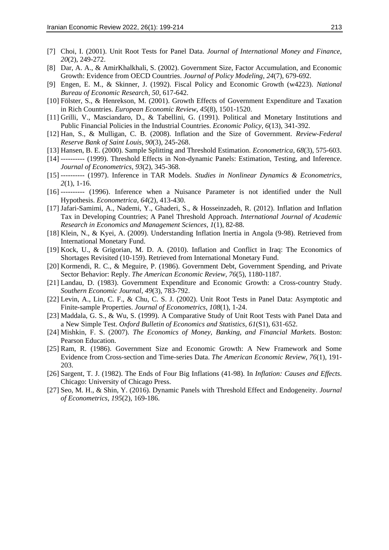- [7] Choi, I. (2001). Unit Root Tests for Panel Data. *Journal of International Money and Finance*, *20*(2), 249-272.
- [8] Dar, A. A., & AmirKhalkhali, S. (2002). Government Size, Factor Accumulation, and Economic Growth: Evidence from OECD Countries. *Journal of Policy Modeling*, *24*(7), 679-692.
- [9] Engen, E. M., & Skinner, J. (1992). Fiscal Policy and Economic Growth (w4223). *National Bureau of Economic Research*, *50*, 617-642.
- [10] Fölster, S., & Henrekson, M. (2001). Growth Effects of Government Expenditure and Taxation in Rich Countries. *European Economic Review*, *45*(8), 1501-1520.
- [11] Grilli, V., Masciandaro, D., & Tabellini, G. (1991). Political and Monetary Institutions and Public Financial Policies in the Industrial Countries. *Economic Policy*, *6*(13), 341-392.
- [12] Han, S., & Mulligan, C. B. (2008). Inflation and the Size of Government. *Review-Federal Reserve Bank of Saint Louis*, *90*(3), 245-268.
- [13] Hansen, B. E. (2000). Sample Splitting and Threshold Estimation. *Econometrica*, *68*(3), 575-603.
- [14] ---------- (1999). Threshold Effects in Non-dynamic Panels: Estimation, Testing, and Inference. *Journal of Econometrics*, *93*(2), 345-368.
- [15] ---------- (1997). Inference in TAR Models. *Studies in Nonlinear Dynamics & Econometrics*, *2*(1), 1-16.
- [16] ---------- (1996). Inference when a Nuisance Parameter is not identified under the Null Hypothesis. *Econometrica*, *64*(2), 413-430.
- [17] Jafari-Samimi, A., Nademi, Y., Ghaderi, S., & Hosseinzadeh, R. (2012). Inflation and Inflation Tax in Developing Countries; A Panel Threshold Approach. *International Journal of Academic Research in Economics and Management Sciences*, *1*(1), 82-88.
- [18] Klein, N., & Kyei, A. (2009). Understanding Inflation Inertia in Angola (9-98). Retrieved from International Monetary Fund.
- [19] Kock, U., & Grigorian, M. D. A. (2010). Inflation and Conflict in Iraq: The Economics of Shortages Revisited (10-159). Retrieved from International Monetary Fund.
- [20] Kormendi, R. C., & Meguire, P. (1986). Government Debt, Government Spending, and Private Sector Behavior: Reply. *The American Economic Review*, *76*(5), 1180-1187.
- [21] Landau, D. (1983). Government Expenditure and Economic Growth: a Cross-country Study. *Southern Economic Journal*, *49*(3), 783-792.
- [22] Levin, A., Lin, C. F., & Chu, C. S. J. (2002). Unit Root Tests in Panel Data: Asymptotic and Finite-sample Properties. *Journal of Econometrics*, *108*(1), 1-24.
- [23] Maddala, G. S., & Wu, S. (1999). A Comparative Study of Unit Root Tests with Panel Data and a New Simple Test. *Oxford Bulletin of Economics and Statistics*, *61*(S1), 631-652.
- [24] Mishkin, F. S. (2007). *The Economics of Money, Banking, and Financial Markets*. Boston: Pearson Education.
- [25] Ram, R. (1986). Government Size and Economic Growth: A New Framework and Some Evidence from Cross-section and Time-series Data. *The American Economic Review*, *76*(1), 191- 203.
- [26] Sargent, T. J. (1982). The Ends of Four Big Inflations (41-98). In *Inflation: Causes and Effects*. Chicago: University of Chicago Press.
- [27] Seo, M. H., & Shin, Y. (2016). Dynamic Panels with Threshold Effect and Endogeneity. *Journal of Econometrics*, *195*(2), 169-186.